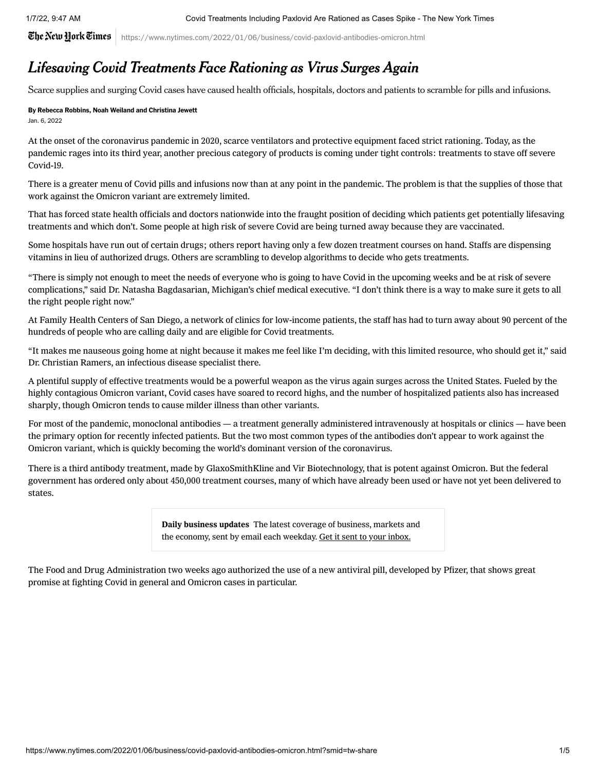The New Hork Times  $\mid$  https://www.nytimes.com/2022/01/06/business/covid-paxlovid-antibodies-omicron.html

## Lifesaving Covid Treatments Face Rationing as Virus Surges Again

Scarce supplies and surging Covid cases have caused health officials, hospitals, doctors and patients to scramble for pills and infusions.

## By [Rebecca Robbins,](https://www.nytimes.com/by/rebecca-robbins) [Noah Weiland](https://www.nytimes.com/by/noah-weiland) and Christina Jewett Jan. 6, 2022

At the onset of the [coronavirus](https://www.nytimes.com/news-event/coronavirus) pandemic in 2020, scarce ventilators and protective equipment faced strict rationing. Today, as the pandemic rages into its third year, another precious category of products is coming under tight controls: treatments to stave off severe Covid-19.

There is a greater menu of Covid pills and infusions now than at any point in the pandemic. The problem is that the supplies of those that work against the Omicron variant are extremely limited.

That has forced state health officials and doctors nationwide into the fraught position of deciding which patients get potentially lifesaving treatments and which don't. Some people at high risk of severe Covid are being turned away because they are vaccinated.

Some hospitals have run out of certain drugs; others report having only a few dozen treatment courses on hand. Staffs are dispensing vitamins in lieu of authorized drugs. Others are scrambling to develop algorithms to decide who gets treatments.

"There is simply not enough to meet the needs of everyone who is going to have Covid in the upcoming weeks and be at risk of severe complications," said Dr. Natasha Bagdasarian, Michigan's chief medical executive. "I don't think there is a way to make sure it gets to all the right people right now."

At Family Health Centers of San Diego, a network of clinics for low-income patients, the staff has had to turn away about 90 percent of the hundreds of people who are calling daily and are eligible for Covid treatments.

"It makes me nauseous going home at night because it makes me feel like I'm deciding, with this limited resource, who should get it," said Dr. Christian Ramers, an infectious disease specialist there.

A plentiful supply of effective treatments would be a powerful weapon as the virus again surges across the United States. Fueled by the highly contagious Omicron variant, Covid cases have soared to record highs, and the number of [hospitalized](https://www.nytimes.com/interactive/2021/us/covid-cases.html) patients also has increased sharply, though Omicron tends to cause milder illness than other variants.

For most of the pandemic, monoclonal antibodies — a treatment generally administered intravenously at hospitals or clinics — have been the primary option for recently infected patients. But the two most common types of the antibodies don't appear to work against the Omicron variant, which is quickly [becoming](https://outbreak.info/situation-reports/omicron?loc=ZAF&loc=GBR&loc=USA&selected=Worldwide&overlay=false) the world's dominant version of the coronavirus.

There is a third antibody treatment, made by GlaxoSmithKline and Vir Biotechnology, that is potent against Omicron. But the federal government has ordered only about 450,000 treatment courses, many of which have already been used or have not yet been delivered to states.

> Daily business updates The latest coverage of business, markets and the economy, sent by email each weekday. Get it sent to your inbox.

The Food and Drug Administration two weeks ago [authorized](https://www.nytimes.com/2021/12/22/health/pfizer-covid-pill-fda-paxlovid.html) the use of a new antiviral pill, developed by Pfizer, that shows great promise at fighting Covid in general and Omicron cases in particular.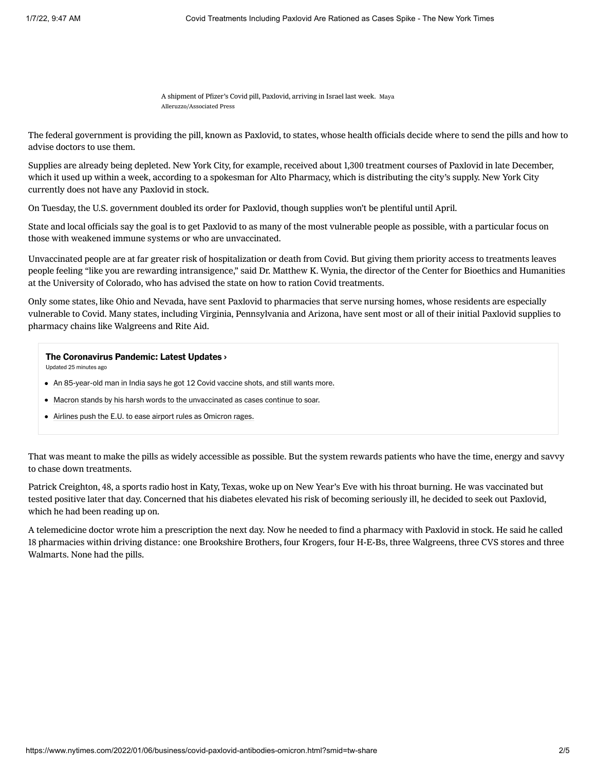A shipment of Pfizer's Covid pill, Paxlovid, arriving in Israel last week. Maya Alleruzzo/Associated Press

The federal government is providing the pill, known as Paxlovid, to states, whose health officials decide where to send the pills and how to advise doctors to use them.

Supplies are already being depleted. New York City, for example, received about 1,300 treatment courses of Paxlovid in late December, which it used up within a week, according to a spokesman for Alto Pharmacy, which is distributing the city's supply. New York City currently does not [have](https://www1.nyc.gov/site/doh/covid/covid-19-providers-treatments.page#refer) any Paxlovid in stock.

On Tuesday, the U.S. government [doubled](https://www.nytimes.com/live/2022/01/04/world/omicron-covid-vaccine-tests#paxlovid-covid-pill) its order for Paxlovid, though supplies won't be plentiful until April.

State and local officials say the goal is to get Paxlovid to as many of the most vulnerable people as possible, with a particular focus on those with weakened immune systems or who are unvaccinated.

Unvaccinated people are at far greater risk of hospitalization or death from Covid. But giving them priority access to treatments leaves people feeling "like you are rewarding intransigence," said Dr. Matthew K. Wynia, the director of the Center for Bioethics and Humanities at the University of Colorado, who has advised the state on how to ration Covid treatments.

Only some states, like Ohio and Nevada, have sent Paxlovid to pharmacies that serve nursing homes, whose residents are especially vulnerable to Covid. Many states, including [Virginia,](https://www.vdh.virginia.gov/coronavirus/get-the-latest-guidance/health-professionals/therapeutics/oral-antiviral-pharmacies/) Pennsylvania and Arizona, have sent most or all of their initial Paxlovid supplies to pharmacy chains like Walgreens and Rite Aid.

## [The Coronavirus Pandemic: Latest Updates](https://www.nytimes.com/live/2022/01/07/world/omicron-covid-vaccine-tests?name=styln-coronavirus®ion=MAIN_CONTENT_2&block=storyline_latest_updates_recirc&action=click&pgtype=Article&variant=show&index=1) ›

Updated 25 minutes ago

- [An 85-year-old man in India says he got 12 Covid vaccine shots, and still wants more.](https://www.nytimes.com/live/2022/01/07/world/omicron-covid-vaccine-tests?name=styln-coronavirus®ion=MAIN_CONTENT_2&block=storyline_latest_updates_recirc&action=click&pgtype=Article&variant=show&index=2#india-12-booster-shots)
- [Macron stands by his harsh words to the unvaccinated as cases continue to soar.](https://www.nytimes.com/live/2022/01/07/world/omicron-covid-vaccine-tests?name=styln-coronavirus®ion=MAIN_CONTENT_2&block=storyline_latest_updates_recirc&action=click&pgtype=Article&variant=show&index=2#macron-stands-by-his-harsh-words-to-the-unvaccinated-as-cases-continue-to-soar)
- [Airlines push the E.U. to ease airport rules as Omicron rages.](https://www.nytimes.com/live/2022/01/07/world/omicron-covid-vaccine-tests?name=styln-coronavirus®ion=MAIN_CONTENT_2&block=storyline_latest_updates_recirc&action=click&pgtype=Article&variant=show&index=2#airlines-european-union-omicron)

That was meant to make the pills as widely accessible as possible. But the system rewards patients who have the time, energy and savvy to chase down treatments.

Patrick Creighton, 48, a sports radio host in Katy, Texas, woke up on New Year's Eve with his throat burning. He was vaccinated but tested positive later that day. Concerned that his diabetes elevated his risk of becoming seriously ill, he decided to seek out Paxlovid, which he had been reading up on.

A telemedicine doctor wrote him a prescription the next day. Now he needed to find a pharmacy with Paxlovid in stock. He said he called 18 pharmacies within driving distance: one Brookshire Brothers, four Krogers, four H-E-Bs, three Walgreens, three CVS stores and three Walmarts. None had the pills.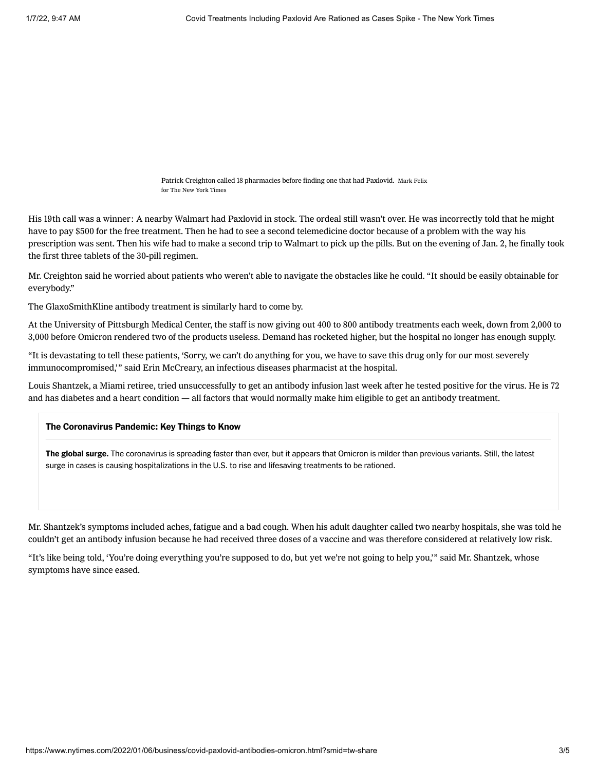Patrick Creighton called 18 pharmacies before finding one that had Paxlovid. Mark Felix for The New York Times

His 19th call was a winner: A nearby Walmart had Paxlovid in stock. The ordeal still wasn't over. He was incorrectly told that he might have to pay \$500 for the free treatment. Then he had to see a second telemedicine doctor because of a problem with the way his prescription was sent. Then his wife had to make a second trip to Walmart to pick up the pills. But on the evening of Jan. 2, he finally took the first three tablets of the 30-pill regimen.

Mr. Creighton said he worried about patients who weren't able to navigate the obstacles like he could. "It should be easily obtainable for everybody."

The GlaxoSmithKline antibody treatment is similarly hard to come by.

At the University of Pittsburgh Medical Center, the staff is now giving out 400 to 800 antibody treatments each week, down from 2,000 to 3,000 before Omicron [rendered](https://www.nytimes.com/2021/12/21/health/covid-monoclonal-antibodies-omicron.html) two of the products useless. Demand has rocketed higher, but the hospital no longer has enough supply.

"It is devastating to tell these patients, 'Sorry, we can't do anything for you, we have to save this drug only for our most severely immunocompromised,'" said Erin McCreary, an infectious diseases pharmacist at the hospital.

Louis Shantzek, a Miami retiree, tried unsuccessfully to get an antibody infusion last week after he tested positive for the virus. He is 72 and has diabetes and a heart condition — all factors that would [normally](https://www.fda.gov/media/149534/download#page=2) make him eligible to get an antibody treatment.

## The Coronavirus Pandemic: Key Things to Know

The global surge. The coronavirus is spreading faster than ever, but it appears that [Omicron is milder](https://www.nytimes.com/2022/01/05/briefing/omicron-risk-milder-pandemic.html?action=click&pgtype=Article&state=default&module=styln-coronavirus&variant=show®ion=MAIN_CONTENT_3&block=storyline_levelup_swipe_recirc) than previous variants. Still, the latest surge in cases is causing [hospitalizations in the U.S. to rise](https://www.nytimes.com/2022/01/04/health/covid-omicron-hospitalizations.html?action=click&pgtype=Article&state=default&module=styln-coronavirus&variant=show®ion=MAIN_CONTENT_3&block=storyline_levelup_swipe_recirc) and [lifesaving treatments to be rationed](https://www.nytimes.com/2022/01/06/business/covid-paxlovid-antibodies-omicron.html?action=click&pgtype=Article&state=default&module=styln-coronavirus&variant=show®ion=MAIN_CONTENT_3&block=storyline_levelup_swipe_recirc).

Mr. Shantzek's symptoms included aches, fatigue and a bad cough. When his adult daughter called two nearby hospitals, she was told he couldn't get an antibody infusion because he had received three doses of a vaccine and was therefore considered at relatively low risk.

"It's like being told, 'You're doing everything you're supposed to do, but yet we're not going to help you,'" said Mr. Shantzek, whose symptoms have since eased.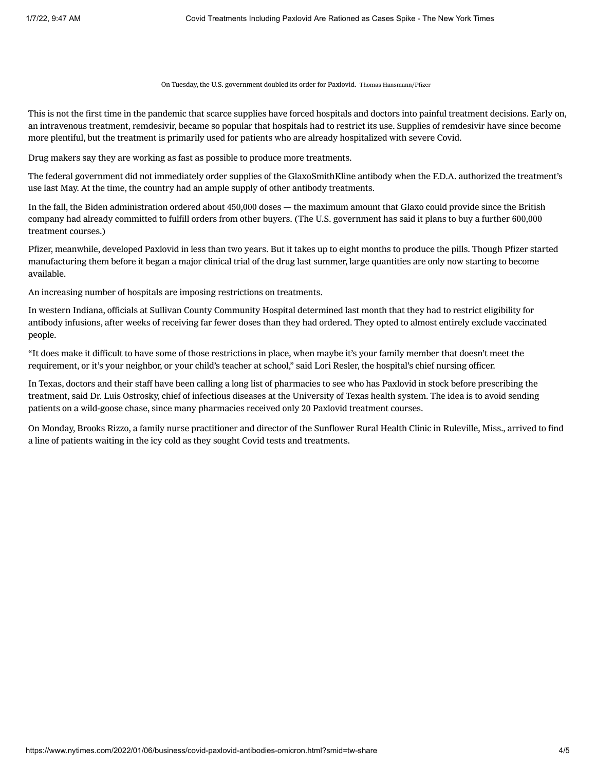On Tuesday, the U.S. government doubled its order for Paxlovid. Thomas Hansmann/Pfizer

This is not the first time in the pandemic that scarce supplies have forced hospitals and doctors into painful treatment decisions. Early on, an intravenous treatment, remdesivir, became so popular that hospitals had to restrict its use. Supplies of remdesivir have since become more plentiful, but the treatment is primarily used for patients who are already hospitalized with severe Covid.

Drug makers say they are working as fast as possible to produce more treatments.

The federal government did not immediately order supplies of the GlaxoSmithKline antibody when the F.D.A. authorized the treatment's use last May. At the time, the country had an ample supply of other antibody treatments.

In the fall, the Biden administration ordered about 450,000 doses — the maximum amount that Glaxo could provide since the British company had already committed to fulfill orders from other buyers. (The U.S. government has said it plans to buy a further 600,000 treatment courses.)

Pfizer, meanwhile, developed Paxlovid in less than two years. But it takes up to eight months to produce the pills. Though Pfizer started manufacturing them before it began a major clinical trial of the drug last summer, large quantities are only now starting to become available.

An increasing number of hospitals are imposing restrictions on treatments.

In western Indiana, officials at Sullivan County [Community](http://schosp.com/news-posts/update-on-covid-infusions/) Hospital determined last month that they had to restrict eligibility for antibody infusions, after weeks of receiving far fewer doses than they had ordered. They opted to almost entirely exclude vaccinated people.

"It does make it difficult to have some of those restrictions in place, when maybe it's your family member that doesn't meet the requirement, or it's your neighbor, or your child's teacher at school," said Lori Resler, the hospital's chief nursing officer.

In Texas, doctors and their staff have been calling a long list of pharmacies to see who has Paxlovid in stock before prescribing the treatment, said Dr. Luis Ostrosky, chief of infectious diseases at the University of Texas health system. The idea is to avoid sending patients on a wild-goose chase, since many pharmacies received only 20 Paxlovid treatment courses.

On Monday, Brooks Rizzo, a family nurse practitioner and director of the Sunflower Rural Health Clinic in Ruleville, Miss., arrived to find a line of patients waiting in the icy cold as they sought Covid tests and treatments.